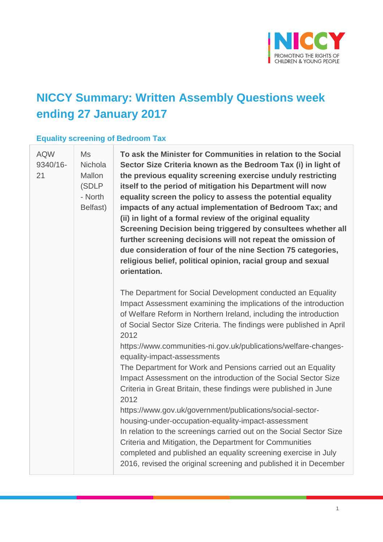

# **NICCY Summary: Written Assembly Questions week ending 27 January 2017**

### **Equality screening of Bedroom Tax**

| <b>AQW</b><br>9340/16-<br>21 | Ms<br>Nichola<br><b>Mallon</b><br>(SDLP<br>- North<br>Belfast) | To ask the Minister for Communities in relation to the Social<br>Sector Size Criteria known as the Bedroom Tax (i) in light of<br>the previous equality screening exercise unduly restricting<br>itself to the period of mitigation his Department will now<br>equality screen the policy to assess the potential equality<br>impacts of any actual implementation of Bedroom Tax; and<br>(ii) in light of a formal review of the original equality<br>Screening Decision being triggered by consultees whether all<br>further screening decisions will not repeat the omission of<br>due consideration of four of the nine Section 75 categories,<br>religious belief, political opinion, racial group and sexual<br>orientation. |
|------------------------------|----------------------------------------------------------------|------------------------------------------------------------------------------------------------------------------------------------------------------------------------------------------------------------------------------------------------------------------------------------------------------------------------------------------------------------------------------------------------------------------------------------------------------------------------------------------------------------------------------------------------------------------------------------------------------------------------------------------------------------------------------------------------------------------------------------|
|                              |                                                                | The Department for Social Development conducted an Equality<br>Impact Assessment examining the implications of the introduction<br>of Welfare Reform in Northern Ireland, including the introduction<br>of Social Sector Size Criteria. The findings were published in April<br>2012                                                                                                                                                                                                                                                                                                                                                                                                                                               |
|                              |                                                                | https://www.communities-ni.gov.uk/publications/welfare-changes-<br>equality-impact-assessments                                                                                                                                                                                                                                                                                                                                                                                                                                                                                                                                                                                                                                     |
|                              |                                                                | The Department for Work and Pensions carried out an Equality<br>Impact Assessment on the introduction of the Social Sector Size<br>Criteria in Great Britain, these findings were published in June<br>2012                                                                                                                                                                                                                                                                                                                                                                                                                                                                                                                        |
|                              |                                                                | https://www.gov.uk/government/publications/social-sector-<br>housing-under-occupation-equality-impact-assessment<br>In relation to the screenings carried out on the Social Sector Size<br>Criteria and Mitigation, the Department for Communities<br>completed and published an equality screening exercise in July                                                                                                                                                                                                                                                                                                                                                                                                               |
|                              |                                                                | 2016, revised the original screening and published it in December                                                                                                                                                                                                                                                                                                                                                                                                                                                                                                                                                                                                                                                                  |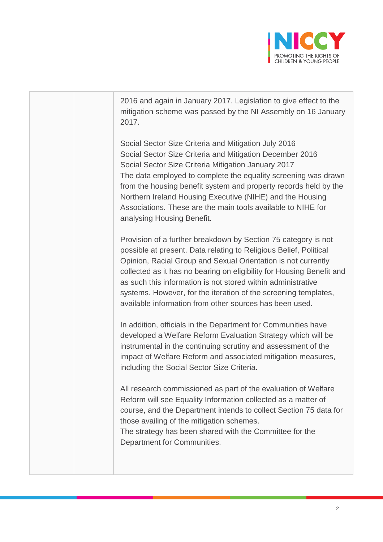

|  | 2016 and again in January 2017. Legislation to give effect to the<br>mitigation scheme was passed by the NI Assembly on 16 January<br>2017.                                                                                                                                                                                                                                                                                                                                 |
|--|-----------------------------------------------------------------------------------------------------------------------------------------------------------------------------------------------------------------------------------------------------------------------------------------------------------------------------------------------------------------------------------------------------------------------------------------------------------------------------|
|  | Social Sector Size Criteria and Mitigation July 2016<br>Social Sector Size Criteria and Mitigation December 2016<br>Social Sector Size Criteria Mitigation January 2017<br>The data employed to complete the equality screening was drawn<br>from the housing benefit system and property records held by the<br>Northern Ireland Housing Executive (NIHE) and the Housing<br>Associations. These are the main tools available to NIHE for<br>analysing Housing Benefit.    |
|  | Provision of a further breakdown by Section 75 category is not<br>possible at present. Data relating to Religious Belief, Political<br>Opinion, Racial Group and Sexual Orientation is not currently<br>collected as it has no bearing on eligibility for Housing Benefit and<br>as such this information is not stored within administrative<br>systems. However, for the iteration of the screening templates,<br>available information from other sources has been used. |
|  | In addition, officials in the Department for Communities have<br>developed a Welfare Reform Evaluation Strategy which will be<br>instrumental in the continuing scrutiny and assessment of the<br>impact of Welfare Reform and associated mitigation measures,<br>including the Social Sector Size Criteria.                                                                                                                                                                |
|  | All research commissioned as part of the evaluation of Welfare<br>Reform will see Equality Information collected as a matter of<br>course, and the Department intends to collect Section 75 data for<br>those availing of the mitigation schemes.<br>The strategy has been shared with the Committee for the<br>Department for Communities.                                                                                                                                 |
|  |                                                                                                                                                                                                                                                                                                                                                                                                                                                                             |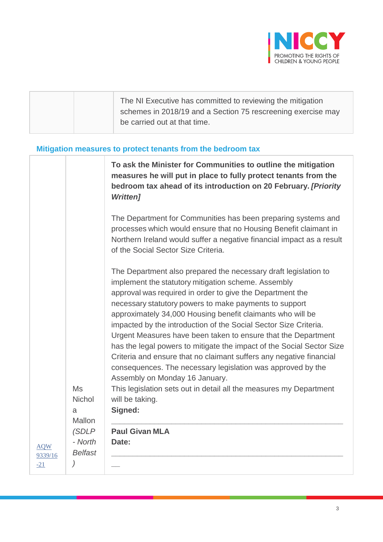

|  | The NI Executive has committed to reviewing the mitigation<br>schemes in 2018/19 and a Section 75 rescreening exercise may<br>be carried out at that time. |
|--|------------------------------------------------------------------------------------------------------------------------------------------------------------|
|--|------------------------------------------------------------------------------------------------------------------------------------------------------------|

### **Mitigation measures to protect tenants from the bedroom tax**

|                  |                    | To ask the Minister for Communities to outline the mitigation<br>measures he will put in place to fully protect tenants from the<br>bedroom tax ahead of its introduction on 20 February. [Priority<br><b>Written]</b>                                                                                                                                                                                                                                                                                                                                                                                                                                                                            |
|------------------|--------------------|---------------------------------------------------------------------------------------------------------------------------------------------------------------------------------------------------------------------------------------------------------------------------------------------------------------------------------------------------------------------------------------------------------------------------------------------------------------------------------------------------------------------------------------------------------------------------------------------------------------------------------------------------------------------------------------------------|
|                  |                    | The Department for Communities has been preparing systems and<br>processes which would ensure that no Housing Benefit claimant in<br>Northern Ireland would suffer a negative financial impact as a result<br>of the Social Sector Size Criteria.                                                                                                                                                                                                                                                                                                                                                                                                                                                 |
|                  |                    | The Department also prepared the necessary draft legislation to<br>implement the statutory mitigation scheme. Assembly<br>approval was required in order to give the Department the<br>necessary statutory powers to make payments to support<br>approximately 34,000 Housing benefit claimants who will be<br>impacted by the introduction of the Social Sector Size Criteria.<br>Urgent Measures have been taken to ensure that the Department<br>has the legal powers to mitigate the impact of the Social Sector Size<br>Criteria and ensure that no claimant suffers any negative financial<br>consequences. The necessary legislation was approved by the<br>Assembly on Monday 16 January. |
|                  | Ms                 | This legislation sets out in detail all the measures my Department                                                                                                                                                                                                                                                                                                                                                                                                                                                                                                                                                                                                                                |
|                  | <b>Nichol</b><br>a | will be taking.<br>Signed:                                                                                                                                                                                                                                                                                                                                                                                                                                                                                                                                                                                                                                                                        |
|                  | Mallon             |                                                                                                                                                                                                                                                                                                                                                                                                                                                                                                                                                                                                                                                                                                   |
|                  | (SDLP              | <b>Paul Givan MLA</b>                                                                                                                                                                                                                                                                                                                                                                                                                                                                                                                                                                                                                                                                             |
| <b>AQW</b>       | - North            | Date:                                                                                                                                                                                                                                                                                                                                                                                                                                                                                                                                                                                                                                                                                             |
| 9339/16<br>$-21$ | <b>Belfast</b>     |                                                                                                                                                                                                                                                                                                                                                                                                                                                                                                                                                                                                                                                                                                   |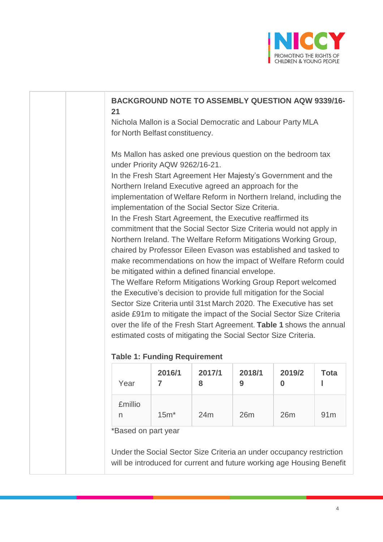

|                | Nichola Mallon is a Social Democratic and Labour Party MLA<br>for North Belfast constituency.                                                                                                                                                                                                                                                                                                                                                        |             |             |             |             |
|----------------|------------------------------------------------------------------------------------------------------------------------------------------------------------------------------------------------------------------------------------------------------------------------------------------------------------------------------------------------------------------------------------------------------------------------------------------------------|-------------|-------------|-------------|-------------|
|                | Ms Mallon has asked one previous question on the bedroom tax<br>under Priority AQW 9262/16-21.<br>In the Fresh Start Agreement Her Majesty's Government and the<br>Northern Ireland Executive agreed an approach for the<br>implementation of Welfare Reform in Northern Ireland, including the                                                                                                                                                      |             |             |             |             |
|                | implementation of the Social Sector Size Criteria.<br>In the Fresh Start Agreement, the Executive reaffirmed its<br>commitment that the Social Sector Size Criteria would not apply in<br>Northern Ireland. The Welfare Reform Mitigations Working Group,<br>chaired by Professor Eileen Evason was established and tasked to<br>make recommendations on how the impact of Welfare Reform could<br>be mitigated within a defined financial envelope. |             |             |             |             |
|                | The Welfare Reform Mitigations Working Group Report welcomed<br>the Executive's decision to provide full mitigation for the Social<br>Sector Size Criteria until 31st March 2020. The Executive has set<br>aside £91m to mitigate the impact of the Social Sector Size Criteria<br>over the life of the Fresh Start Agreement. Table 1 shows the annual<br>estimated costs of mitigating the Social Sector Size Criteria.                            |             |             |             |             |
|                | <b>Table 1: Funding Requirement</b>                                                                                                                                                                                                                                                                                                                                                                                                                  |             |             |             |             |
| Year           | 2016/1<br>7                                                                                                                                                                                                                                                                                                                                                                                                                                          | 2017/1<br>8 | 2018/1<br>9 | 2019/2<br>0 | <b>Tota</b> |
| <b>£millio</b> | $15m*$                                                                                                                                                                                                                                                                                                                                                                                                                                               | 24m         | 26m         | 26m         | 91m         |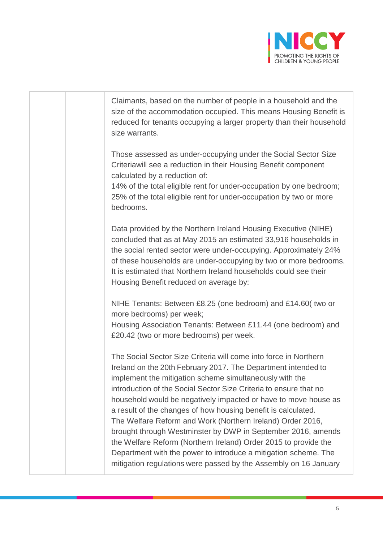

|  | Claimants, based on the number of people in a household and the<br>size of the accommodation occupied. This means Housing Benefit is<br>reduced for tenants occupying a larger property than their household<br>size warrants.                                                                                                                                                                                                                                                                                                                                                                                                                                                                                                                |
|--|-----------------------------------------------------------------------------------------------------------------------------------------------------------------------------------------------------------------------------------------------------------------------------------------------------------------------------------------------------------------------------------------------------------------------------------------------------------------------------------------------------------------------------------------------------------------------------------------------------------------------------------------------------------------------------------------------------------------------------------------------|
|  | Those assessed as under-occupying under the Social Sector Size<br>Criteriawill see a reduction in their Housing Benefit component<br>calculated by a reduction of:<br>14% of the total eligible rent for under-occupation by one bedroom;<br>25% of the total eligible rent for under-occupation by two or more<br>bedrooms.                                                                                                                                                                                                                                                                                                                                                                                                                  |
|  | Data provided by the Northern Ireland Housing Executive (NIHE)<br>concluded that as at May 2015 an estimated 33,916 households in<br>the social rented sector were under-occupying. Approximately 24%<br>of these households are under-occupying by two or more bedrooms.<br>It is estimated that Northern Ireland households could see their<br>Housing Benefit reduced on average by:                                                                                                                                                                                                                                                                                                                                                       |
|  | NIHE Tenants: Between £8.25 (one bedroom) and £14.60( two or<br>more bedrooms) per week;<br>Housing Association Tenants: Between £11.44 (one bedroom) and<br>£20.42 (two or more bedrooms) per week.                                                                                                                                                                                                                                                                                                                                                                                                                                                                                                                                          |
|  | The Social Sector Size Criteria will come into force in Northern<br>Ireland on the 20th February 2017. The Department intended to<br>implement the mitigation scheme simultaneously with the<br>introduction of the Social Sector Size Criteria to ensure that no<br>household would be negatively impacted or have to move house as<br>a result of the changes of how housing benefit is calculated.<br>The Welfare Reform and Work (Northern Ireland) Order 2016,<br>brought through Westminster by DWP in September 2016, amends<br>the Welfare Reform (Northern Ireland) Order 2015 to provide the<br>Department with the power to introduce a mitigation scheme. The<br>mitigation regulations were passed by the Assembly on 16 January |
|  |                                                                                                                                                                                                                                                                                                                                                                                                                                                                                                                                                                                                                                                                                                                                               |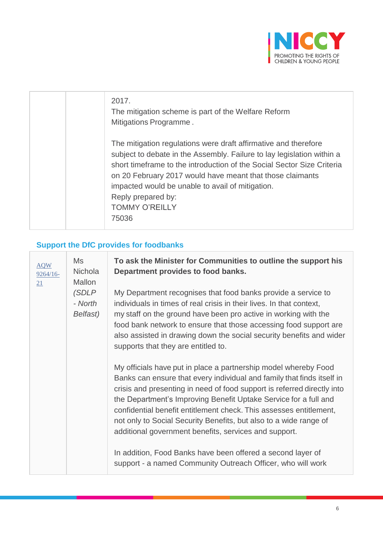

| 2017.<br>The mitigation scheme is part of the Welfare Reform<br>Mitigations Programme.                                                                                                                                                                                                                                                                                                       |
|----------------------------------------------------------------------------------------------------------------------------------------------------------------------------------------------------------------------------------------------------------------------------------------------------------------------------------------------------------------------------------------------|
| The mitigation regulations were draft affirmative and therefore<br>subject to debate in the Assembly. Failure to lay legislation within a<br>short timeframe to the introduction of the Social Sector Size Criteria<br>on 20 February 2017 would have meant that those claimants<br>impacted would be unable to avail of mitigation.<br>Reply prepared by:<br><b>TOMMY O'REILLY</b><br>75036 |

# **Support the DfC provides for foodbanks**

| <b>AQW</b><br>$9264/16-$<br>21 | Ms<br><b>Nichola</b><br><b>Mallon</b> | To ask the Minister for Communities to outline the support his<br>Department provides to food banks.                                                                                                                                                                                                                                                                                                                                                                                         |
|--------------------------------|---------------------------------------|----------------------------------------------------------------------------------------------------------------------------------------------------------------------------------------------------------------------------------------------------------------------------------------------------------------------------------------------------------------------------------------------------------------------------------------------------------------------------------------------|
|                                | (SDLP<br>- North<br>Belfast)          | My Department recognises that food banks provide a service to<br>individuals in times of real crisis in their lives. In that context,<br>my staff on the ground have been pro active in working with the<br>food bank network to ensure that those accessing food support are<br>also assisted in drawing down the social security benefits and wider<br>supports that they are entitled to.                                                                                                 |
|                                |                                       | My officials have put in place a partnership model whereby Food<br>Banks can ensure that every individual and family that finds itself in<br>crisis and presenting in need of food support is referred directly into<br>the Department's Improving Benefit Uptake Service for a full and<br>confidential benefit entitlement check. This assesses entitlement,<br>not only to Social Security Benefits, but also to a wide range of<br>additional government benefits, services and support. |
|                                |                                       | In addition, Food Banks have been offered a second layer of<br>support - a named Community Outreach Officer, who will work                                                                                                                                                                                                                                                                                                                                                                   |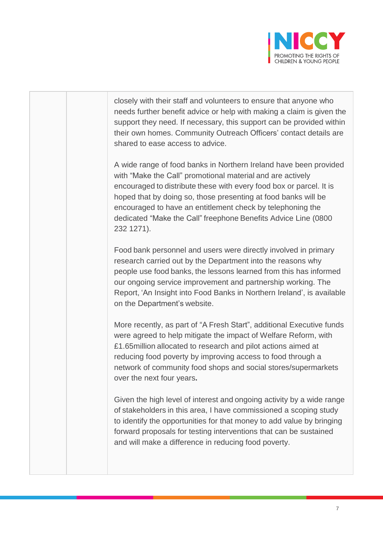

| closely with their staff and volunteers to ensure that anyone who<br>needs further benefit advice or help with making a claim is given the<br>support they need. If necessary, this support can be provided within<br>their own homes. Community Outreach Officers' contact details are<br>shared to ease access to advice.                                                                                            |
|------------------------------------------------------------------------------------------------------------------------------------------------------------------------------------------------------------------------------------------------------------------------------------------------------------------------------------------------------------------------------------------------------------------------|
| A wide range of food banks in Northern Ireland have been provided<br>with "Make the Call" promotional material and are actively<br>encouraged to distribute these with every food box or parcel. It is<br>hoped that by doing so, those presenting at food banks will be<br>encouraged to have an entitlement check by telephoning the<br>dedicated "Make the Call" freephone Benefits Advice Line (0800<br>232 1271). |
| Food bank personnel and users were directly involved in primary<br>research carried out by the Department into the reasons why<br>people use food banks, the lessons learned from this has informed<br>our ongoing service improvement and partnership working. The<br>Report, 'An Insight into Food Banks in Northern Ireland', is available<br>on the Department's website.                                          |
| More recently, as part of "A Fresh Start", additional Executive funds<br>were agreed to help mitigate the impact of Welfare Reform, with<br>£1.65 million allocated to research and pilot actions aimed at<br>reducing food poverty by improving access to food through a<br>network of community food shops and social stores/supermarkets<br>over the next four years.                                               |
| Given the high level of interest and ongoing activity by a wide range<br>of stakeholders in this area, I have commissioned a scoping study<br>to identify the opportunities for that money to add value by bringing<br>forward proposals for testing interventions that can be sustained<br>and will make a difference in reducing food poverty.                                                                       |
|                                                                                                                                                                                                                                                                                                                                                                                                                        |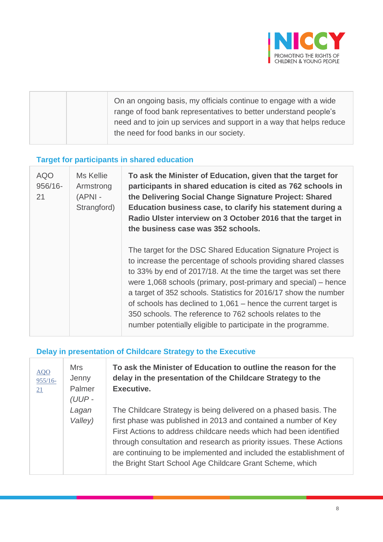

|  | On an ongoing basis, my officials continue to engage with a wide<br>range of food bank representatives to better understand people's<br>need and to join up services and support in a way that helps reduce |
|--|-------------------------------------------------------------------------------------------------------------------------------------------------------------------------------------------------------------|
|  | the need for food banks in our society.                                                                                                                                                                     |

## **Target for participants in shared education**

| <b>AQO</b><br>$956/16 -$<br>21 | Ms Kellie<br>Armstrong<br>$(APNI -$<br>Strangford) | To ask the Minister of Education, given that the target for<br>participants in shared education is cited as 762 schools in<br>the Delivering Social Change Signature Project: Shared<br>Education business case, to clarify his statement during a<br>Radio Ulster interview on 3 October 2016 that the target in<br>the business case was 352 schools.                                                                                                                                                                               |
|--------------------------------|----------------------------------------------------|---------------------------------------------------------------------------------------------------------------------------------------------------------------------------------------------------------------------------------------------------------------------------------------------------------------------------------------------------------------------------------------------------------------------------------------------------------------------------------------------------------------------------------------|
|                                |                                                    | The target for the DSC Shared Education Signature Project is<br>to increase the percentage of schools providing shared classes<br>to 33% by end of 2017/18. At the time the target was set there<br>were 1,068 schools (primary, post-primary and special) – hence<br>a target of 352 schools. Statistics for 2016/17 show the number<br>of schools has declined to $1,061$ – hence the current target is<br>350 schools. The reference to 762 schools relates to the<br>number potentially eligible to participate in the programme. |

### **Delay in presentation of Childcare Strategy to the Executive**

| AQO<br>$955/16 -$<br>21 | <b>Mrs</b><br>Jenny<br>Palmer<br>(UUP- | To ask the Minister of Education to outline the reason for the<br>delay in the presentation of the Childcare Strategy to the<br>Executive.                                                                                                                                                                                                                                                                          |
|-------------------------|----------------------------------------|---------------------------------------------------------------------------------------------------------------------------------------------------------------------------------------------------------------------------------------------------------------------------------------------------------------------------------------------------------------------------------------------------------------------|
|                         | Lagan<br>Valley)                       | The Childcare Strategy is being delivered on a phased basis. The<br>first phase was published in 2013 and contained a number of Key<br>First Actions to address childcare needs which had been identified<br>through consultation and research as priority issues. These Actions<br>are continuing to be implemented and included the establishment of<br>the Bright Start School Age Childcare Grant Scheme, which |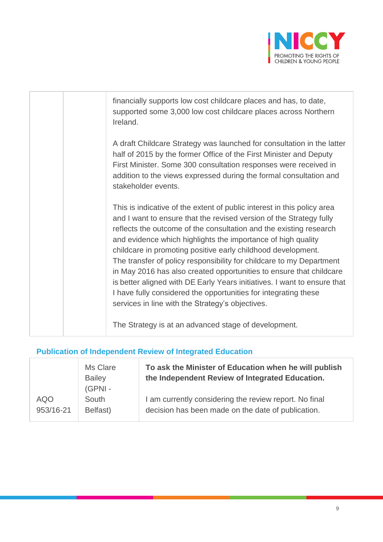

| financially supports low cost childcare places and has, to date,<br>supported some 3,000 low cost childcare places across Northern<br>Ireland.                                                                                                                                                                                                                                                                                                                                                                                                                                                                                                                                                         |
|--------------------------------------------------------------------------------------------------------------------------------------------------------------------------------------------------------------------------------------------------------------------------------------------------------------------------------------------------------------------------------------------------------------------------------------------------------------------------------------------------------------------------------------------------------------------------------------------------------------------------------------------------------------------------------------------------------|
| A draft Childcare Strategy was launched for consultation in the latter<br>half of 2015 by the former Office of the First Minister and Deputy<br>First Minister. Some 300 consultation responses were received in<br>addition to the views expressed during the formal consultation and<br>stakeholder events.                                                                                                                                                                                                                                                                                                                                                                                          |
| This is indicative of the extent of public interest in this policy area<br>and I want to ensure that the revised version of the Strategy fully<br>reflects the outcome of the consultation and the existing research<br>and evidence which highlights the importance of high quality<br>childcare in promoting positive early childhood development.<br>The transfer of policy responsibility for childcare to my Department<br>in May 2016 has also created opportunities to ensure that childcare<br>is better aligned with DE Early Years initiatives. I want to ensure that<br>I have fully considered the opportunities for integrating these<br>services in line with the Strategy's objectives. |
| The Strategy is at an advanced stage of development.                                                                                                                                                                                                                                                                                                                                                                                                                                                                                                                                                                                                                                                   |

## **Publication of Independent Review of Integrated Education**

|            | Ms Clare<br><b>Bailey</b><br>(GPNI - | To ask the Minister of Education when he will publish<br>the Independent Review of Integrated Education. |
|------------|--------------------------------------|----------------------------------------------------------------------------------------------------------|
| <b>AQO</b> | South                                | I am currently considering the review report. No final                                                   |
| 953/16-21  | Belfast)                             | decision has been made on the date of publication.                                                       |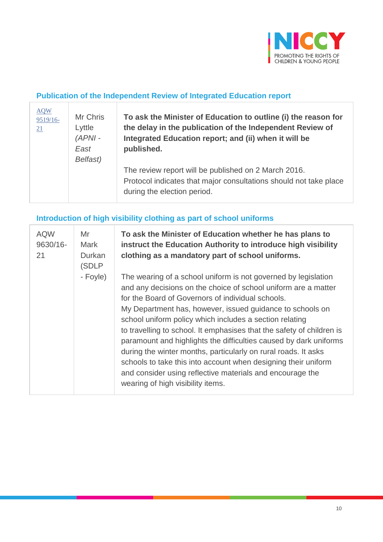

### **Publication of the Independent Review of Integrated Education report**

| <b>AQW</b><br>9519/16-<br>21 | Mr Chris<br>Lyttle<br>$(APNI -$<br>East | To ask the Minister of Education to outline (i) the reason for<br>the delay in the publication of the Independent Review of<br>Integrated Education report; and (ii) when it will be<br>published. |
|------------------------------|-----------------------------------------|----------------------------------------------------------------------------------------------------------------------------------------------------------------------------------------------------|
|                              | Belfast)                                | The review report will be published on 2 March 2016.<br>Protocol indicates that major consultations should not take place<br>during the election period.                                           |

### **Introduction of high visibility clothing as part of school uniforms**

| <b>AQW</b><br>$9630/16 -$<br>21 | Mr<br><b>Mark</b><br>Durkan<br>(SDLP | To ask the Minister of Education whether he has plans to<br>instruct the Education Authority to introduce high visibility<br>clothing as a mandatory part of school uniforms.                                                                                                                                                                                                                                                                                                                                                                                                                                                                                                                     |
|---------------------------------|--------------------------------------|---------------------------------------------------------------------------------------------------------------------------------------------------------------------------------------------------------------------------------------------------------------------------------------------------------------------------------------------------------------------------------------------------------------------------------------------------------------------------------------------------------------------------------------------------------------------------------------------------------------------------------------------------------------------------------------------------|
|                                 | - Foyle)                             | The wearing of a school uniform is not governed by legislation<br>and any decisions on the choice of school uniform are a matter<br>for the Board of Governors of individual schools.<br>My Department has, however, issued guidance to schools on<br>school uniform policy which includes a section relating<br>to travelling to school. It emphasises that the safety of children is<br>paramount and highlights the difficulties caused by dark uniforms<br>during the winter months, particularly on rural roads. It asks<br>schools to take this into account when designing their uniform<br>and consider using reflective materials and encourage the<br>wearing of high visibility items. |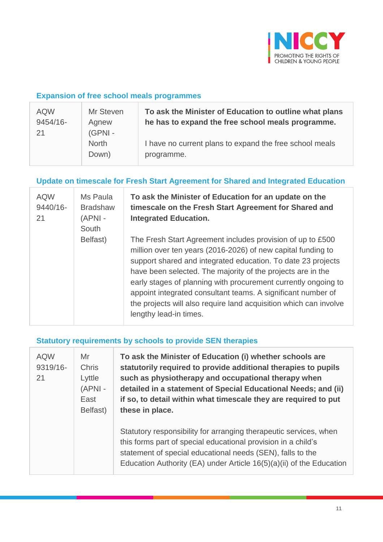

#### **Expansion of free school meals programmes**

| <b>AQW</b> | Mr Steven                       | To ask the Minister of Education to outline what plans                |
|------------|---------------------------------|-----------------------------------------------------------------------|
| 9454/16-   | Agnew                           | he has to expand the free school meals programme.                     |
| 21         | (GPNI-<br><b>North</b><br>Down) | I have no current plans to expand the free school meals<br>programme. |

#### **Update on timescale for Fresh Start Agreement for Shared and Integrated Education**

| <b>AQW</b><br>9440/16-<br>21 | Ms Paula<br><b>Bradshaw</b><br>$(APNI -$<br>South | To ask the Minister of Education for an update on the<br>timescale on the Fresh Start Agreement for Shared and<br><b>Integrated Education.</b>                                                                                                                                                                                                                                                                                                                                             |
|------------------------------|---------------------------------------------------|--------------------------------------------------------------------------------------------------------------------------------------------------------------------------------------------------------------------------------------------------------------------------------------------------------------------------------------------------------------------------------------------------------------------------------------------------------------------------------------------|
|                              | Belfast)                                          | The Fresh Start Agreement includes provision of up to £500<br>million over ten years (2016-2026) of new capital funding to<br>support shared and integrated education. To date 23 projects<br>have been selected. The majority of the projects are in the<br>early stages of planning with procurement currently ongoing to<br>appoint integrated consultant teams. A significant number of<br>the projects will also require land acquisition which can involve<br>lengthy lead-in times. |

#### **Statutory requirements by schools to provide SEN therapies**

| <b>AQW</b><br>9319/16-<br>21 | Mr<br><b>Chris</b><br>Lyttle<br>(APNI -<br>East<br>Belfast) | To ask the Minister of Education (i) whether schools are<br>statutorily required to provide additional therapies to pupils<br>such as physiotherapy and occupational therapy when<br>detailed in a statement of Special Educational Needs; and (ii)<br>if so, to detail within what timescale they are required to put<br>these in place. |
|------------------------------|-------------------------------------------------------------|-------------------------------------------------------------------------------------------------------------------------------------------------------------------------------------------------------------------------------------------------------------------------------------------------------------------------------------------|
|                              |                                                             | Statutory responsibility for arranging therapeutic services, when<br>this forms part of special educational provision in a child's<br>statement of special educational needs (SEN), falls to the<br>Education Authority (EA) under Article 16(5)(a)(ii) of the Education                                                                  |